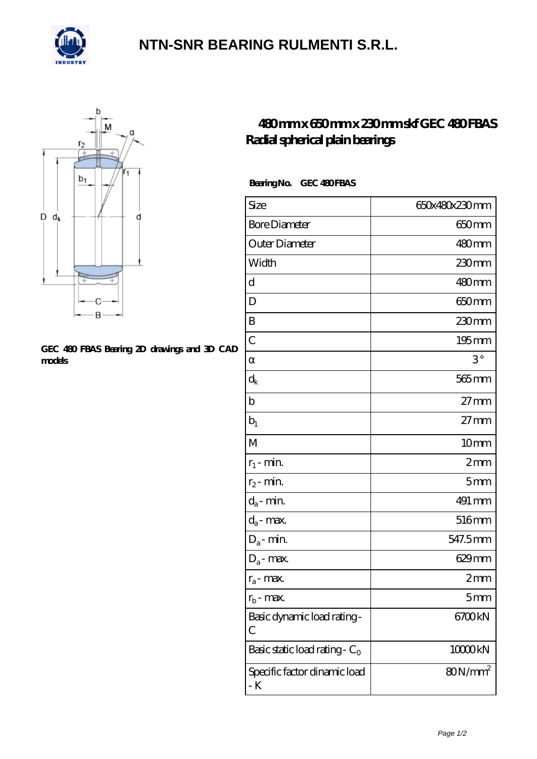

## **[NTN-SNR BEARING RULMENTI S.R.L.](https://m.confidencemenimprov.com)**



#### **[GEC 480 FBAS Bearing 2D drawings and 3D CAD](https://m.confidencemenimprov.com/pic-64975096.html) [models](https://m.confidencemenimprov.com/pic-64975096.html)**

### **[480 mm x 650 mm x 230 mm skf GEC 480 FBAS](https://m.confidencemenimprov.com/am-64975096-skf-gec-480-fbas-radial-spherical-plain-bearings.html) [Radial spherical plain bearings](https://m.confidencemenimprov.com/am-64975096-skf-gec-480-fbas-radial-spherical-plain-bearings.html)**

### Bearing No. GEC 480 FBAS

| Size                                | 650x480x230mm     |
|-------------------------------------|-------------------|
| <b>Bore Diameter</b>                | 650 <sub>mm</sub> |
| Outer Diameter                      | 480mm             |
| Width                               | 230mm             |
| d                                   | 480mm             |
| D                                   | 650 <sub>mm</sub> |
| B                                   | $230$ mm          |
| $\overline{C}$                      | $195$ mm          |
|                                     | $3^{\circ}$       |
| $d_k$                               | 565 mm            |
| $\mathbf b$                         | $27 \text{mm}$    |
| $b_1$                               | $27 \text{mm}$    |
| M                                   | 10mm              |
| $r_1$ - min.                        | 2mm               |
| $r_2$ - min.                        | 5 <sub>mm</sub>   |
| $d_{\boldsymbol{a}}$ - $\min$       | 491 mm            |
| $d_a$ - max.                        | 516mm             |
| $D_a$ - min.                        | 547.5mm           |
| $D_a$ - max.                        | $629$ mm          |
| $r_a$ - max.                        | $2 \text{mm}$     |
| $r_{b}$ - max.                      | 5 <sub>mm</sub>   |
| Basic dynamic load rating-<br>С     | 6700kN            |
| Basic static load rating - $C_0$    | 10000kN           |
| Specific factor dinamic load<br>- K | $80N/mm^2$        |